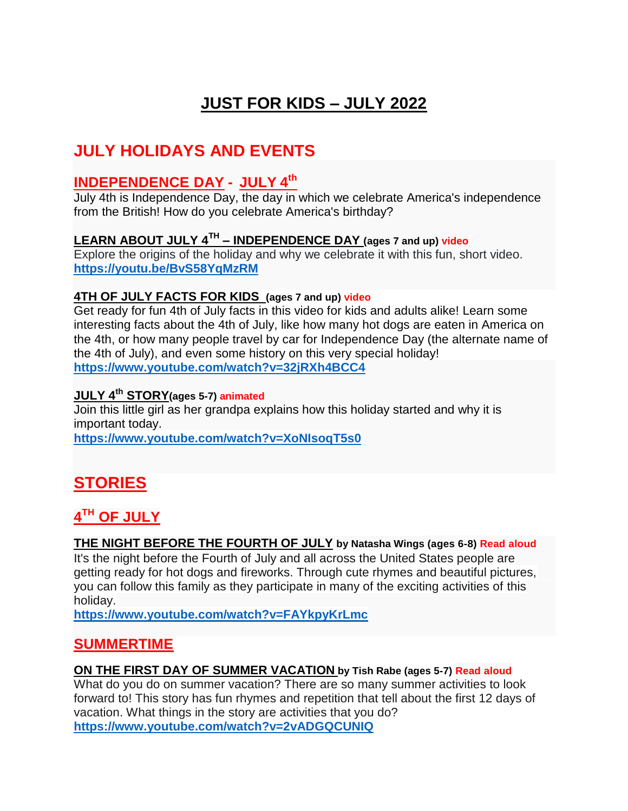# **JUST FOR KIDS – JULY 2022**

# **JULY HOLIDAYS AND EVENTS**

### **INDEPENDENCE DAY - JULY 4 th**

July 4th is Independence Day, the day in which we celebrate America's independence from the British! How do you celebrate America's birthday?

#### **LEARN ABOUT JULY 4TH – INDEPENDENCE DAY (ages 7 and up) video**

Explore the origins of the holiday and why we celebrate it with this fun, short video. **<https://youtu.be/BvS58YqMzRM>**

#### **4TH OF JULY FACTS FOR KIDS (ages 7 and up) video**

Get ready for fun 4th of July facts in this video for kids and adults alike! Learn some interesting facts about the 4th of July, like how many hot dogs are eaten in America on the 4th, or how many people travel by car for Independence Day (the alternate name of the 4th of July), and even some history on this very special holiday! **<https://www.youtube.com/watch?v=32jRXh4BCC4>**

#### **JULY 4th STORY(ages 5-7) animated**

Join this little girl as her grandpa explains how this holiday started and why it is important today.

**<https://www.youtube.com/watch?v=XoNIsoqT5s0>**

# **STORIES**

### **4 TH OF JULY**

#### **THE NIGHT BEFORE THE FOURTH OF JULY by Natasha Wings (ages 6-8) Read aloud**

It's the night before the Fourth of July and all across the United States people are getting ready for hot dogs and fireworks. Through cute rhymes and beautiful pictures, you can follow this family as they participate in many of the exciting activities of this holiday.

**<https://www.youtube.com/watch?v=FAYkpyKrLmc>**

#### **SUMMERTIME**

#### **ON THE FIRST DAY OF SUMMER VACATION by Tish Rabe (ages 5-7) Read aloud**

What do you do on summer vacation? There are so many summer activities to look forward to! This story has fun rhymes and repetition that tell about the first 12 days of vacation. What things in the story are activities that you do? **<https://www.youtube.com/watch?v=2vADGQCUNIQ>**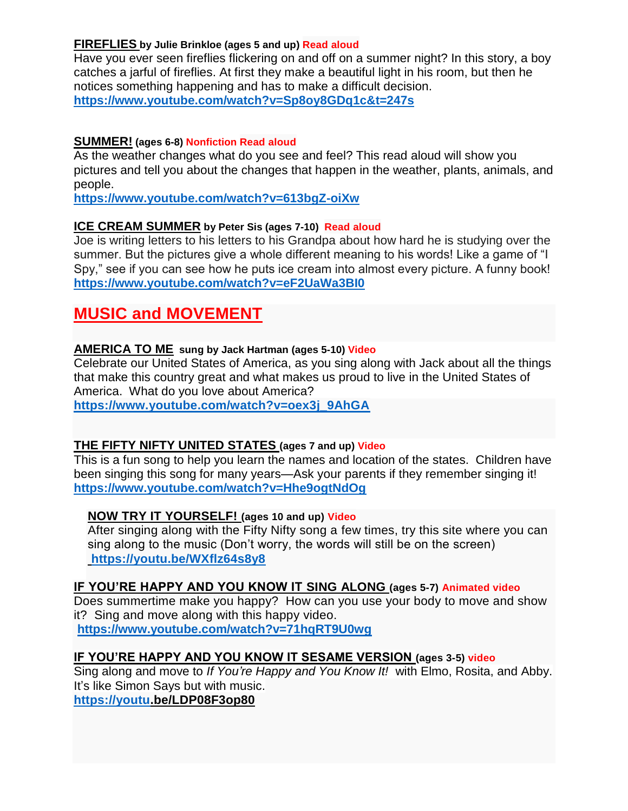#### **FIREFLIES by Julie Brinkloe (ages 5 and up) Read aloud**

Have you ever seen fireflies flickering on and off on a summer night? In this story, a boy catches a jarful of fireflies. At first they make a beautiful light in his room, but then he notices something happening and has to make a difficult decision. **<https://www.youtube.com/watch?v=Sp8oy8GDq1c&t=247s>**

#### **SUMMER! (ages 6-8) Nonfiction Read aloud**

As the weather changes what do you see and feel? This read aloud will show you pictures and tell you about the changes that happen in the weather, plants, animals, and people.

**<https://www.youtube.com/watch?v=613bgZ-oiXw>**

#### **ICE CREAM SUMMER by Peter Sis (ages 7-10) Read aloud**

Joe is writing letters to his letters to his Grandpa about how hard he is studying over the summer. But the pictures give a whole different meaning to his words! Like a game of "I Spy," see if you can see how he puts ice cream into almost every picture. A funny book! **<https://www.youtube.com/watch?v=eF2UaWa3BI0>**

### **MUSIC and MOVEMENT**

#### **AMERICA TO ME sung by Jack Hartman (ages 5-10) Video**

Celebrate our United States of America, as you sing along with Jack about all the things that make this country great and what makes us proud to live in the United States of America. What do you love about America?

**[https://www.youtube.com/watch?v=oex3j\\_9AhGA](https://www.youtube.com/watch?v=oex3j_9AhGA)**

#### **THE FIFTY NIFTY UNITED STATES [\(ages 7 and up\) Video](https://r.search.yahoo.com/_ylt=AwrFQEjbpoti7yUAvST8w8QF;_ylu=c2VjA2NkLWF0dHIEc2xrA3NvdXJjZQR2dGlkAwRydXJsA2h0dHBzOi8vd3d3LnlvdXR1YmUuY29tL3dhdGNoP3Y9Y0UyUkZpYWY3WGM-/RV=2/RE=1653348187/RO=10/RU=https%3a%2f%2fwww.youtube.com%2fwatch%3fv%3dcE2RFiaf7Xc/RK=2/RS=ZNQp1Jt5ZJ.yzXLC58B5g9trZbw-)**

This is a fun song to help you learn the names and location of the states. Children have been singing this song for many years—Ask your parents if they remember singing it! **<https://www.youtube.com/watch?v=Hhe9ogtNdOg>**

#### **NOW TRY IT YOURSELF! (ages 10 and up) Video**

After singing along with the Fifty Nifty song a few times, try this site where you can sing along to the music (Don't worry, the words will still be on the screen) **<https://youtu.be/WXflz64s8y8>**

#### **IF YOU'RE HAPPY AND YOU KNOW IT SING ALONG (ages 5-7) Animated video**

Does summertime make you happy? How can you use your body to move and show it? Sing and move along with this happy video. **<https://www.youtube.com/watch?v=71hqRT9U0wg>**

### **IF YOU'RE HAPPY AND YOU KNOW IT SESAME VERSION (ages 3-5) video**

Sing along and move to *If You're Happy and You Know It!* with Elmo, Rosita, and Abby. It's like Simon Says but with music.

**[https://youtu.](https://youtu/)be/LDP08F3op80**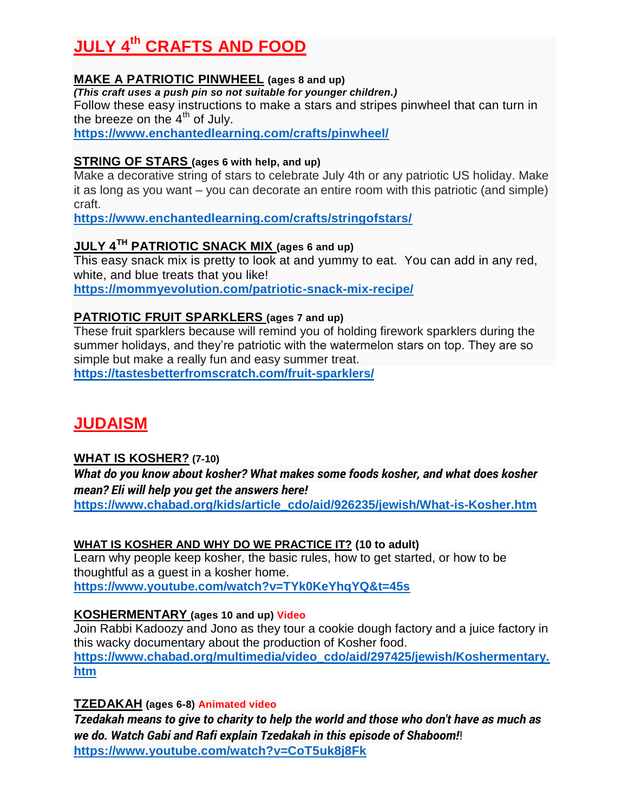# **JULY 4 th CRAFTS AND FOOD**

#### **MAKE A PATRIOTIC PINWHEEL (ages 8 and up)**

*(This craft uses a push pin so not suitable for younger children.)*

Follow these easy instructions to make a stars and stripes pinwheel that can turn in the breeze on the  $4<sup>th</sup>$  of July.

**<https://www.enchantedlearning.com/crafts/pinwheel/>**

#### **STRING OF STARS (ages 6 with help, and up)**

Make a decorative string of stars to celebrate July 4th or any patriotic US holiday. Make it as long as you want – you can decorate an entire room with this patriotic (and simple) craft.

**<https://www.enchantedlearning.com/crafts/stringofstars/>**

### **JULY 4TH PATRIOTIC SNACK MIX (ages 6 and up)**

This easy snack mix is pretty to look at and yummy to eat. You can add in any red, white, and blue treats that you like! **<https://mommyevolution.com/patriotic-snack-mix-recipe/>**

#### **PATRIOTIC FRUIT SPARKLERS (ages 7 and up)**

These fruit sparklers because will remind you of holding firework sparklers during the summer holidays, and they're patriotic with the watermelon stars on top. They are so simple but make a really fun and easy summer treat.

**<https://tastesbetterfromscratch.com/fruit-sparklers/>**

# **JUDAISM**

#### **WHAT IS KOSHER? (7-10)**

*What do you know about kosher? What makes some foods kosher, and what does kosher mean? Eli will help you get the answers here!* **[https://www.chabad.org/kids/article\\_cdo/aid/926235/jewish/What-is-Kosher.htm](https://www.chabad.org/kids/article_cdo/aid/926235/jewish/What-is-Kosher.htm)**

#### **WHAT IS KOSHER AND WHY DO WE PRACTICE IT? (10 to adult)**

Learn why people keep kosher, the basic rules, how to get started, or how to be thoughtful as a guest in a kosher home. **<https://www.youtube.com/watch?v=TYk0KeYhqYQ&t=45s>**

#### **KOSHERMENTARY (ages 10 and up) Video**

Join Rabbi Kadoozy and Jono as they tour a cookie dough factory and a juice factory in this wacky documentary about the production of Kosher food. **[https://www.chabad.org/multimedia/video\\_cdo/aid/297425/jewish/Koshermentary.](https://www.chabad.org/multimedia/video_cdo/aid/297425/jewish/Koshermentary.htm) [htm](https://www.chabad.org/multimedia/video_cdo/aid/297425/jewish/Koshermentary.htm)**

**TZEDAKAH (ages 6-8) Animated video**

*Tzedakah means to give to charity to help the world and those who don't have as much as we do. Watch Gabi and Rafi explain Tzedakah in this episode of Shaboom!*! **<https://www.youtube.com/watch?v=CoT5uk8j8Fk>**